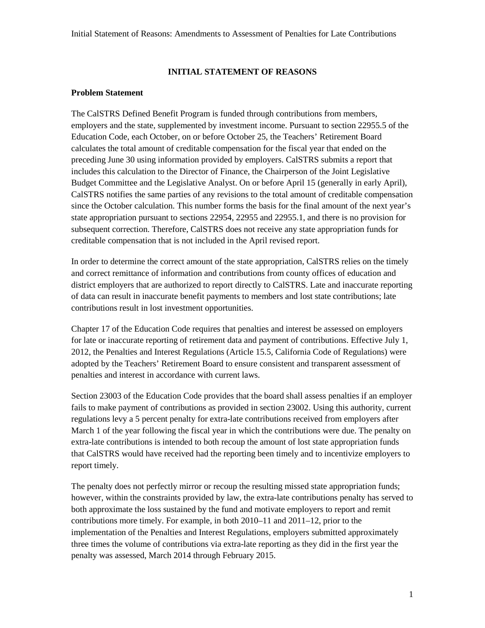### **INITIAL STATEMENT OF REASONS**

#### **Problem Statement**

The CalSTRS Defined Benefit Program is funded through contributions from members, employers and the state, supplemented by investment income. Pursuant to section 22955.5 of the Education Code, each October, on or before October 25, the Teachers' Retirement Board calculates the total amount of creditable compensation for the fiscal year that ended on the preceding June 30 using information provided by employers. CalSTRS submits a report that includes this calculation to the Director of Finance, the Chairperson of the Joint Legislative Budget Committee and the Legislative Analyst. On or before April 15 (generally in early April), CalSTRS notifies the same parties of any revisions to the total amount of creditable compensation since the October calculation. This number forms the basis for the final amount of the next year's state appropriation pursuant to sections 22954, 22955 and 22955.1, and there is no provision for subsequent correction. Therefore, CalSTRS does not receive any state appropriation funds for creditable compensation that is not included in the April revised report.

In order to determine the correct amount of the state appropriation, CalSTRS relies on the timely and correct remittance of information and contributions from county offices of education and district employers that are authorized to report directly to CalSTRS. Late and inaccurate reporting of data can result in inaccurate benefit payments to members and lost state contributions; late contributions result in lost investment opportunities.

Chapter 17 of the Education Code requires that penalties and interest be assessed on employers for late or inaccurate reporting of retirement data and payment of contributions. Effective July 1, 2012, the Penalties and Interest Regulations (Article 15.5, California Code of Regulations) were adopted by the Teachers' Retirement Board to ensure consistent and transparent assessment of penalties and interest in accordance with current laws.

Section 23003 of the Education Code provides that the board shall assess penalties if an employer fails to make payment of contributions as provided in section 23002. Using this authority, current regulations levy a 5 percent penalty for extra-late contributions received from employers after March 1 of the year following the fiscal year in which the contributions were due. The penalty on extra-late contributions is intended to both recoup the amount of lost state appropriation funds that CalSTRS would have received had the reporting been timely and to incentivize employers to report timely.

The penalty does not perfectly mirror or recoup the resulting missed state appropriation funds; however, within the constraints provided by law, the extra-late contributions penalty has served to both approximate the loss sustained by the fund and motivate employers to report and remit contributions more timely. For example, in both 2010–11 and 2011–12, prior to the implementation of the Penalties and Interest Regulations, employers submitted approximately three times the volume of contributions via extra-late reporting as they did in the first year the penalty was assessed, March 2014 through February 2015.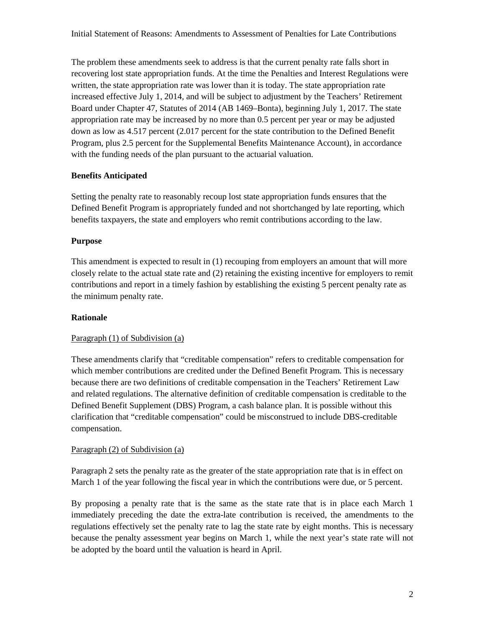Initial Statement of Reasons: Amendments to Assessment of Penalties for Late Contributions

The problem these amendments seek to address is that the current penalty rate falls short in recovering lost state appropriation funds. At the time the Penalties and Interest Regulations were written, the state appropriation rate was lower than it is today. The state appropriation rate increased effective July 1, 2014, and will be subject to adjustment by the Teachers' Retirement Board under Chapter 47, Statutes of 2014 (AB 1469–Bonta), beginning July 1, 2017. The state appropriation rate may be increased by no more than 0.5 percent per year or may be adjusted down as low as 4.517 percent (2.017 percent for the state contribution to the Defined Benefit Program, plus 2.5 percent for the Supplemental Benefits Maintenance Account), in accordance with the funding needs of the plan pursuant to the actuarial valuation.

#### **Benefits Anticipated**

Setting the penalty rate to reasonably recoup lost state appropriation funds ensures that the Defined Benefit Program is appropriately funded and not shortchanged by late reporting, which benefits taxpayers, the state and employers who remit contributions according to the law.

#### **Purpose**

This amendment is expected to result in (1) recouping from employers an amount that will more closely relate to the actual state rate and (2) retaining the existing incentive for employers to remit contributions and report in a timely fashion by establishing the existing 5 percent penalty rate as the minimum penalty rate.

#### **Rationale**

#### Paragraph (1) of Subdivision (a)

These amendments clarify that "creditable compensation" refers to creditable compensation for which member contributions are credited under the Defined Benefit Program. This is necessary because there are two definitions of creditable compensation in the Teachers' Retirement Law and related regulations. The alternative definition of creditable compensation is creditable to the Defined Benefit Supplement (DBS) Program, a cash balance plan. It is possible without this clarification that "creditable compensation" could be misconstrued to include DBS-creditable compensation.

#### Paragraph (2) of Subdivision (a)

Paragraph 2 sets the penalty rate as the greater of the state appropriation rate that is in effect on March 1 of the year following the fiscal year in which the contributions were due, or 5 percent.

By proposing a penalty rate that is the same as the state rate that is in place each March 1 immediately preceding the date the extra-late contribution is received, the amendments to the regulations effectively set the penalty rate to lag the state rate by eight months. This is necessary because the penalty assessment year begins on March 1, while the next year's state rate will not be adopted by the board until the valuation is heard in April.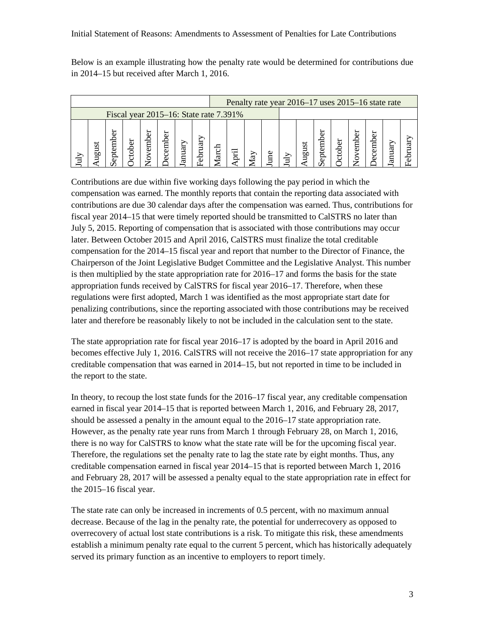Below is an example illustrating how the penalty rate would be determined for contributions due in 2014–15 but received after March 1, 2016.

|                                        |    |  |  |  |                |  |         |         | Penalty rate year 2016–17 uses 2015–16 state rate |           |    |  |          |             |  |  |  |  |  |  |
|----------------------------------------|----|--|--|--|----------------|--|---------|---------|---------------------------------------------------|-----------|----|--|----------|-------------|--|--|--|--|--|--|
| Fiscal year 2015–16: State rate 7.391% |    |  |  |  |                |  |         |         |                                                   |           |    |  |          |             |  |  |  |  |  |  |
|                                        | ЬΩ |  |  |  | 5<br>embe<br>O |  | ನ<br>d) | ਣੀ<br>ਛ |                                                   | $\gtrsim$ | eq |  | ಜ<br>ngn | 5<br>eptemb |  |  |  |  |  |  |

Contributions are due within five working days following the pay period in which the compensation was earned. The monthly reports that contain the reporting data associated with contributions are due 30 calendar days after the compensation was earned. Thus, contributions for fiscal year 2014–15 that were timely reported should be transmitted to CalSTRS no later than July 5, 2015. Reporting of compensation that is associated with those contributions may occur later. Between October 2015 and April 2016, CalSTRS must finalize the total creditable compensation for the 2014–15 fiscal year and report that number to the Director of Finance, the Chairperson of the Joint Legislative Budget Committee and the Legislative Analyst. This number is then multiplied by the state appropriation rate for 2016–17 and forms the basis for the state appropriation funds received by CalSTRS for fiscal year 2016–17. Therefore, when these regulations were first adopted, March 1 was identified as the most appropriate start date for penalizing contributions, since the reporting associated with those contributions may be received later and therefore be reasonably likely to not be included in the calculation sent to the state.

The state appropriation rate for fiscal year 2016–17 is adopted by the board in April 2016 and becomes effective July 1, 2016. CalSTRS will not receive the 2016–17 state appropriation for any creditable compensation that was earned in 2014–15, but not reported in time to be included in the report to the state.

In theory, to recoup the lost state funds for the 2016–17 fiscal year, any creditable compensation earned in fiscal year 2014–15 that is reported between March 1, 2016, and February 28, 2017, should be assessed a penalty in the amount equal to the 2016–17 state appropriation rate. However, as the penalty rate year runs from March 1 through February 28, on March 1, 2016, there is no way for CalSTRS to know what the state rate will be for the upcoming fiscal year. Therefore, the regulations set the penalty rate to lag the state rate by eight months. Thus, any creditable compensation earned in fiscal year 2014–15 that is reported between March 1, 2016 and February 28, 2017 will be assessed a penalty equal to the state appropriation rate in effect for the 2015–16 fiscal year.

The state rate can only be increased in increments of 0.5 percent, with no maximum annual decrease. Because of the lag in the penalty rate, the potential for underrecovery as opposed to overrecovery of actual lost state contributions is a risk. To mitigate this risk, these amendments establish a minimum penalty rate equal to the current 5 percent, which has historically adequately served its primary function as an incentive to employers to report timely.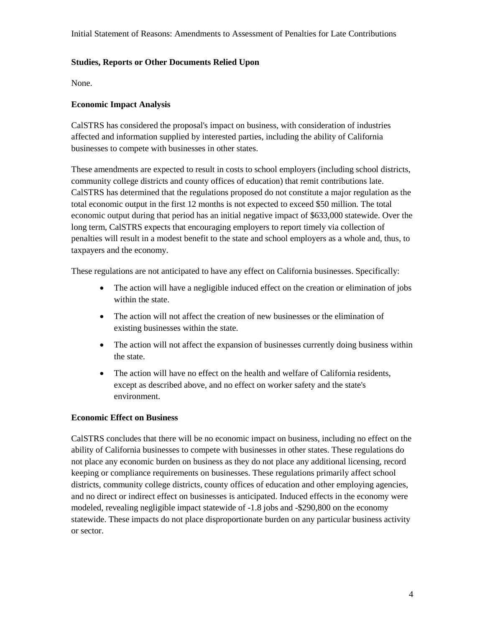Initial Statement of Reasons: Amendments to Assessment of Penalties for Late Contributions

#### **Studies, Reports or Other Documents Relied Upon**

None.

## **Economic Impact Analysis**

CalSTRS has considered the proposal's impact on business, with consideration of industries affected and information supplied by interested parties, including the ability of California businesses to compete with businesses in other states.

These amendments are expected to result in costs to school employers (including school districts, community college districts and county offices of education) that remit contributions late. CalSTRS has determined that the regulations proposed do not constitute a major regulation as the total economic output in the first 12 months is not expected to exceed \$50 million. The total economic output during that period has an initial negative impact of \$633,000 statewide. Over the long term, CalSTRS expects that encouraging employers to report timely via collection of penalties will result in a modest benefit to the state and school employers as a whole and, thus, to taxpayers and the economy.

These regulations are not anticipated to have any effect on California businesses. Specifically:

- The action will have a negligible induced effect on the creation or elimination of jobs within the state.
- The action will not affect the creation of new businesses or the elimination of existing businesses within the state.
- The action will not affect the expansion of businesses currently doing business within the state.
- The action will have no effect on the health and welfare of California residents, except as described above, and no effect on worker safety and the state's environment.

#### **Economic Effect on Business**

CalSTRS concludes that there will be no economic impact on business, including no effect on the ability of California businesses to compete with businesses in other states. These regulations do not place any economic burden on business as they do not place any additional licensing, record keeping or compliance requirements on businesses. These regulations primarily affect school districts, community college districts, county offices of education and other employing agencies, and no direct or indirect effect on businesses is anticipated. Induced effects in the economy were modeled, revealing negligible impact statewide of -1.8 jobs and -\$290,800 on the economy statewide. These impacts do not place disproportionate burden on any particular business activity or sector.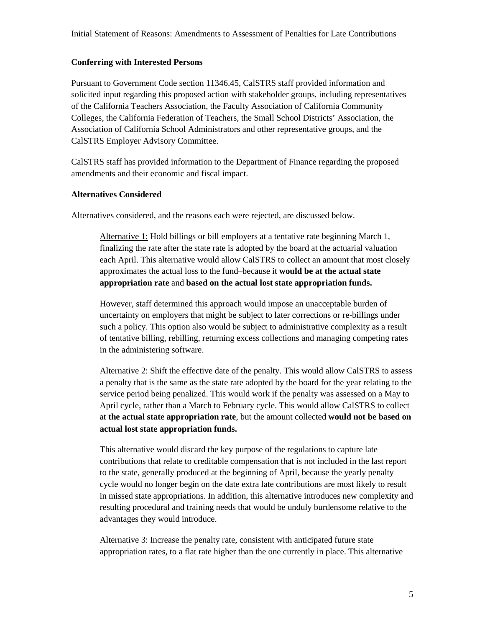### **Conferring with Interested Persons**

Pursuant to Government Code section 11346.45, CalSTRS staff provided information and solicited input regarding this proposed action with stakeholder groups, including representatives of the California Teachers Association, the Faculty Association of California Community Colleges, the California Federation of Teachers, the Small School Districts' Association, the Association of California School Administrators and other representative groups, and the CalSTRS Employer Advisory Committee.

CalSTRS staff has provided information to the Department of Finance regarding the proposed amendments and their economic and fiscal impact.

## **Alternatives Considered**

Alternatives considered, and the reasons each were rejected, are discussed below.

Alternative 1: Hold billings or bill employers at a tentative rate beginning March 1, finalizing the rate after the state rate is adopted by the board at the actuarial valuation each April. This alternative would allow CalSTRS to collect an amount that most closely approximates the actual loss to the fund–because it **would be at the actual state appropriation rate** and **based on the actual lost state appropriation funds.**

However, staff determined this approach would impose an unacceptable burden of uncertainty on employers that might be subject to later corrections or re-billings under such a policy. This option also would be subject to administrative complexity as a result of tentative billing, rebilling, returning excess collections and managing competing rates in the administering software.

Alternative 2: Shift the effective date of the penalty. This would allow CalSTRS to assess a penalty that is the same as the state rate adopted by the board for the year relating to the service period being penalized. This would work if the penalty was assessed on a May to April cycle, rather than a March to February cycle. This would allow CalSTRS to collect at **the actual state appropriation rate**, but the amount collected **would not be based on actual lost state appropriation funds.** 

This alternative would discard the key purpose of the regulations to capture late contributions that relate to creditable compensation that is not included in the last report to the state, generally produced at the beginning of April, because the yearly penalty cycle would no longer begin on the date extra late contributions are most likely to result in missed state appropriations. In addition, this alternative introduces new complexity and resulting procedural and training needs that would be unduly burdensome relative to the advantages they would introduce.

Alternative 3: Increase the penalty rate, consistent with anticipated future state appropriation rates, to a flat rate higher than the one currently in place. This alternative